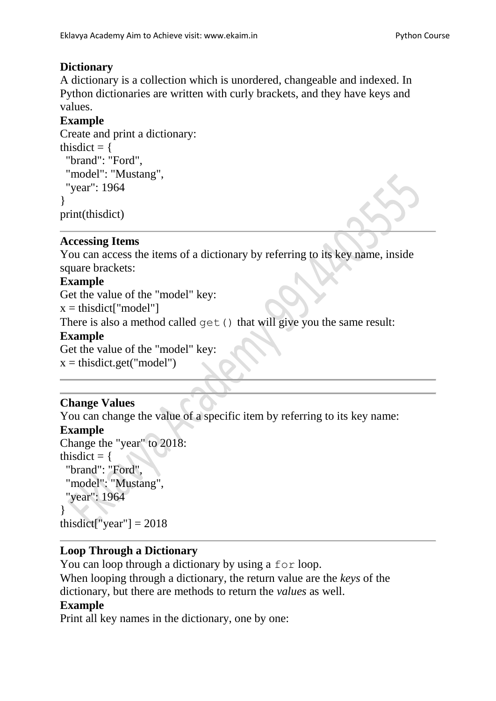# **Dictionary**

A dictionary is a collection which is unordered, changeable and indexed. In Python dictionaries are written with curly brackets, and they have keys and values.

## **Example**

```
Create and print a dictionary:
thisdict = {
  "brand": "Ford",
  "model": "Mustang",
  "year": 1964
}
print(thisdict)
```
#### **Accessing Items**

You can access the items of a dictionary by referring to its key name, inside square brackets:

## **Example**

Get the value of the "model" key:

 $x = \text{thisdict}$ ["model"]

There is also a method called get () that will give you the same result:

#### **Example**

Get the value of the "model" key:  $x = \text{thisdict.get("model")}$ 

## **Change Values**

You can change the value of a specific item by referring to its key name:

## **Example**

```
Change the "year" to 2018:
thisdict = {
  "brand": "Ford",
  "model": "Mustang",
  "year": 1964
}
thisdict["year"] = 2018
```
## **Loop Through a Dictionary**

You can loop through a dictionary by using a for loop. When looping through a dictionary, the return value are the *keys* of the dictionary, but there are methods to return the *values* as well.

#### **Example**

Print all key names in the dictionary, one by one: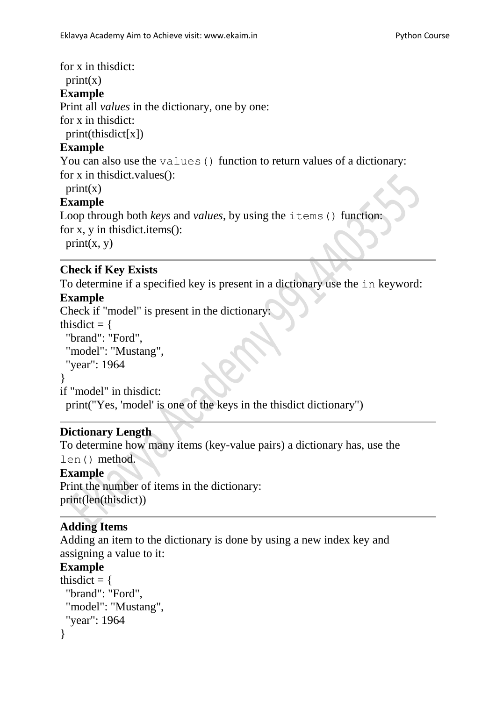for x in thisdict:

 $print(x)$ 

#### **Example**

Print all *values* in the dictionary, one by one:

for x in thisdict:

print(thisdict[x])

#### **Example**

You can also use the values () function to return values of a dictionary: for x in thisdict.values():

#### $print(x)$

#### **Example**

```
Loop through both keys and values, by using the items () function:
for x, y in thisdict.items():
 print(x, y)
```
#### **Check if Key Exists**

To determine if a specified key is present in a dictionary use the in keyword:

## **Example**

Check if "model" is present in the dictionary:

thisdict  $=$  { "brand": "Ford", "model": "Mustang",

"year": 1964

```
}
```
if "model" in thisdict:

print("Yes, 'model' is one of the keys in the thisdict dictionary")

## **Dictionary Length**

To determine how many items (key-value pairs) a dictionary has, use the len() method.

## **Example**

Print the number of items in the dictionary: print(len(thisdict))

## **Adding Items**

Adding an item to the dictionary is done by using a new index key and assigning a value to it:

#### **Example**

```
thisdict = {
  "brand": "Ford",
  "model": "Mustang",
  "year": 1964
}
```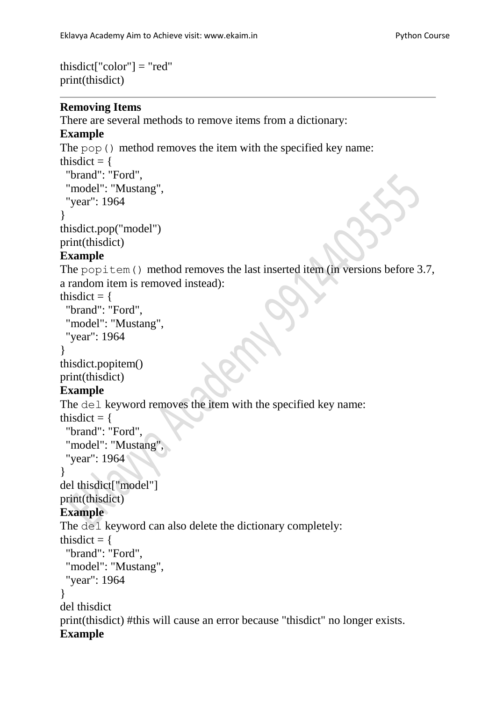```
thisdict<sup>["</sup>color"] = "red"
print(thisdict)
```
#### **Removing Items**

There are several methods to remove items from a dictionary:

#### **Example**

The pop() method removes the item with the specified key name: thisdict  $=$  { "brand": "Ford", "model": "Mustang", "year": 1964 } thisdict.pop("model") print(thisdict) **Example** The popitem () method removes the last inserted item (in versions before 3.7, a random item is removed instead): thisdict  $=$  { "brand": "Ford", "model": "Mustang", "year": 1964 } thisdict.popitem() print(thisdict) **Example** The del keyword removes the item with the specified key name: thisdict  $=$  { "brand": "Ford", "model": "Mustang" "year": 1964 } del thisdict["model"] print(thisdict) **Example** The del keyword can also delete the dictionary completely: thisdict  $=$  { "brand": "Ford", "model": "Mustang", "year": 1964 } del thisdict print(thisdict) #this will cause an error because "thisdict" no longer exists. **Example**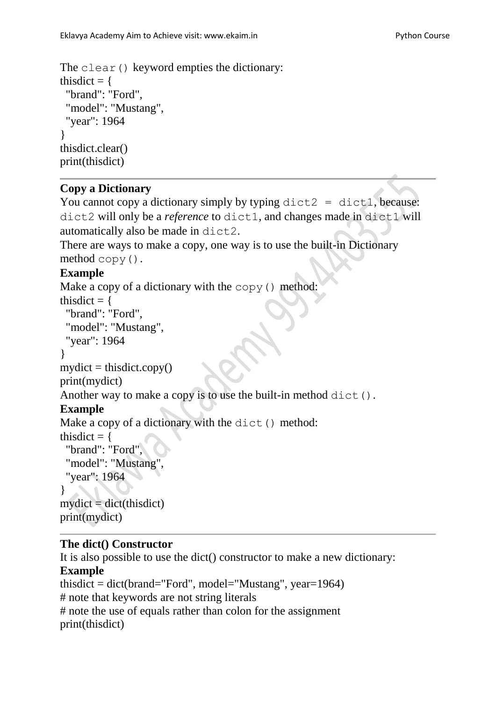```
The clear() keyword empties the dictionary:
thisdict = {
  "brand": "Ford",
  "model": "Mustang",
  "year": 1964
}
thisdict.clear()
print(thisdict)
```
## **Copy a Dictionary**

```
You cannot copy a dictionary simply by typing dist2 = dist1, because:
dict2 will only be a reference to dict1, and changes made in dict1 will 
automatically also be made in dict2.
```

```
There are ways to make a copy, one way is to use the built-in Dictionary 
method copy().
```
# **Example**

```
Make a copy of a dictionary with the copy() method:
thisdict = {
  "brand": "Ford",
  "model": "Mustang",
  "year": 1964
}
mydict = thisdict.copy()print(mydict) 
Another way to make a copy is to use the built-in method dict().
Example
Make a copy of a dictionary with the dict() method:
thisdict = {
 "brand": "Ford"
  "model": "Mustang",
  "year": 1964
}
mydict = dict(thisdict)print(mydict)
```
## **The dict() Constructor**

It is also possible to use the dict() constructor to make a new dictionary: **Example** thisdict = dict(brand="Ford", model="Mustang", year=1964) # note that keywords are not string literals # note the use of equals rather than colon for the assignment print(thisdict)